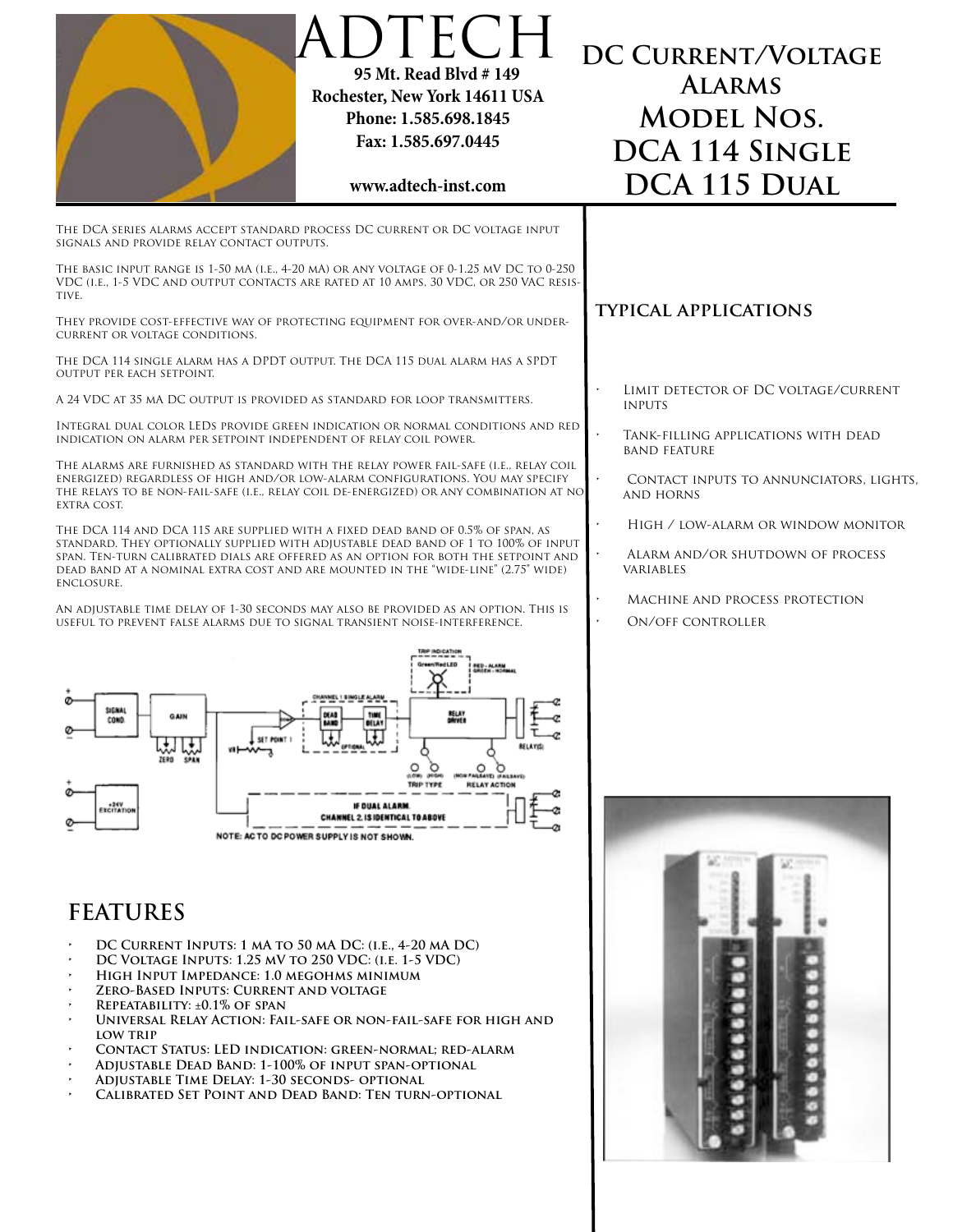|                                                                                                                                                                                                                                                                                                                                                                                               | DTECH<br>95 Mt. Read Blvd # 149<br>Rochester, New York 14611 USA<br>Phone: 1.585.698.1845<br>Fax: 1.585.697.0445<br>www.adtech-inst.com                                                                          | DC CURRENT/VOLTAGE<br><b>ALARMS</b><br><b>MODEL NOS.</b><br>DCA 114 SINGLE<br>DCA 115 DUAL |
|-----------------------------------------------------------------------------------------------------------------------------------------------------------------------------------------------------------------------------------------------------------------------------------------------------------------------------------------------------------------------------------------------|------------------------------------------------------------------------------------------------------------------------------------------------------------------------------------------------------------------|--------------------------------------------------------------------------------------------|
| SIGNALS AND PROVIDE RELAY CONTACT OUTPUTS.                                                                                                                                                                                                                                                                                                                                                    | THE DCA SERIES ALARMS ACCEPT STANDARD PROCESS DC CURRENT OR DC VOLTAGE INPUT                                                                                                                                     |                                                                                            |
| THE BASIC INPUT RANGE IS 1-50 MA (I.E., 4-20 MA) OR ANY VOLTAGE OF 0-1.25 MV DC TO 0-250<br>VDC (i.e., 1-5 VDC and output contacts are rated at 10 amps, 30 VDC, or 250 VAC resis-<br>TIVE.                                                                                                                                                                                                   |                                                                                                                                                                                                                  |                                                                                            |
| THEY PROVIDE COST-EFFECTIVE WAY OF PROTECTING EQUIPMENT FOR OVER-AND/OR UNDER-<br>CURRENT OR VOLTAGE CONDITIONS.                                                                                                                                                                                                                                                                              |                                                                                                                                                                                                                  | <b>TYPICAL APPLICATIONS</b>                                                                |
| THE DCA 114 SINGLE ALARM HAS A DPDT OUTPUT. THE DCA 115 DUAL ALARM HAS A SPDT<br>OUTPUT PER EACH SETPOINT.                                                                                                                                                                                                                                                                                    |                                                                                                                                                                                                                  |                                                                                            |
| A 24 VDC AT 35 MA DC OUTPUT IS PROVIDED AS STANDARD FOR LOOP TRANSMITTERS.                                                                                                                                                                                                                                                                                                                    |                                                                                                                                                                                                                  | LIMIT DETECTOR OF DC VOLTAGE/CURRENT<br><b>INPUTS</b>                                      |
| Integral dual color LEDs provide green indication or normal conditions and red<br>INDICATION ON ALARM PER SETPOINT INDEPENDENT OF RELAY COIL POWER.                                                                                                                                                                                                                                           |                                                                                                                                                                                                                  | TANK-FILLING APPLICATIONS WITH DEAD<br><b>BAND FEATURE</b>                                 |
| THE ALARMS ARE FURNISHED AS STANDARD WITH THE RELAY POWER FAIL-SAFE (I.E., RELAY COIL<br>ENERGIZED) REGARDLESS OF HIGH AND/OR LOW-ALARM CONFIGURATIONS. YOU MAY SPECIFY<br>THE RELAYS TO BE NON-FAIL-SAFE (I.E., RELAY COIL DE-ENERGIZED) OR ANY COMBINATION AT NO<br>EXTRA COST.                                                                                                             |                                                                                                                                                                                                                  | CONTACT INPUTS TO ANNUNCIATORS, LIGHTS,<br><b>AND HORNS</b>                                |
| THE DCA 114 and DCA 115 are supplied with a fixed dead band of 0.5% of span, as<br>STANDARD. THEY OPTIONALLY SUPPLIED WITH ADJUSTABLE DEAD BAND OF 1 TO 100% OF INPUT<br>SPAN. TEN-TURN CALIBRATED DIALS ARE OFFERED AS AN OPTION FOR BOTH THE SETPOINT AND<br>DEAD BAND AT A NOMINAL EXTRA COST AND ARE MOUNTED IN THE "WIDE-LINE" (2.75" WIDE)<br>ENCLOSURE.                                |                                                                                                                                                                                                                  | HIGH / LOW-ALARM OR WINDOW MONITOR                                                         |
|                                                                                                                                                                                                                                                                                                                                                                                               |                                                                                                                                                                                                                  | ALARM AND/OR SHUTDOWN OF PROCESS<br>VARIABLES                                              |
| USEFUL TO PREVENT FALSE ALARMS DUE TO SIGNAL TRANSIENT NOISE-INTERFERENCE.                                                                                                                                                                                                                                                                                                                    | AN ADJUSTABLE TIME DELAY OF 1-30 SECONDS MAY ALSO BE PROVIDED AS AN OPTION. THIS IS                                                                                                                              | MACHINE AND PROCESS PROTECTION<br>ON/OFF CONTROLLER                                        |
| SIGNAL<br>GAIN<br>COND.<br>ZERD SPAN<br><b>EXCITATION</b>                                                                                                                                                                                                                                                                                                                                     | RELAY<br>Dŵyer<br>RELAYIS<br><b>W FAILSANE) (FAILBAVE)</b><br>(1.096)<br><b>TRIP TYPE</b><br><b>RELAY ACTION</b><br>IF DUAL ALARK<br>CHANNEL 2. IS IDENTICAL TO ABOVI<br>NOTE: ACTO DC POWER SUPPLY IS NOT SHOWN |                                                                                            |
| <b>FEATURES</b><br>DC CURRENT INPUTS: 1 MA TO 50 MA DC: (I.E., 4-20 MA DC)<br>DC VOLTAGE INPUTS: 1.25 MV TO 250 VDC: (I.E. 1-5 VDC)<br>HIGH INPUT IMPEDANCE: 1.0 MEGOHMS MINIMUM<br>ZERO-BASED INPUTS: CURRENT AND VOLTAGE<br>REPEATABILITY: ±0.1% OF SPAN<br><b>LOW TRIP</b><br>ADJUSTABLE DEAD BAND: 1-100% OF INPUT SPAN-OPTIONAL<br>$\,$<br>ADJUSTABLE TIME DELAY: 1-30 SECONDS- OPTIONAL | UNIVERSAL RELAY ACTION: FAIL-SAFE OR NON-FAIL-SAFE FOR HIGH AND<br>CONTACT STATUS: LED INDICATION: GREEN-NORMAL; RED-ALARM<br>CALIBRATED SET POINT AND DEAD BAND: TEN TURN-OPTIONAL                              |                                                                                            |